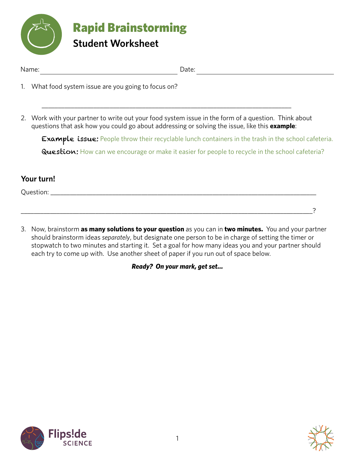

| $+$ $-$ | $1 - 1 - 1$ |
|---------|-------------|
|         |             |

- 1. What food system issue are you going to focus on?
- 2. Work with your partner to write out your food system issue in the form of a question. Think about questions that ask how you could go about addressing or solving the issue, like this **example**:

\_\_\_\_\_\_\_\_\_\_\_\_\_\_\_\_\_\_\_\_\_\_\_\_\_\_\_\_\_\_\_\_\_\_\_\_\_\_\_\_\_\_\_\_\_\_\_\_\_\_\_\_\_\_\_\_\_\_\_\_\_\_\_\_\_\_\_\_\_\_\_\_\_\_\_\_\_

Example issue: People throw their recyclable lunch containers in the trash in the school cafeteria. Question: How can we encourage or make it easier for people to recycle in the school cafeteria?

## **Your turn!**

Question:

3. Now, brainstorm **as many solutions to your question** as you can in **two minutes.** You and your partner should brainstorm ideas *separately*, but designate one person to be in charge of setting the timer or stopwatch to two minutes and starting it. Set a goal for how many ideas you and your partner should each try to come up with. Use another sheet of paper if you run out of space below.

\_\_\_\_\_\_\_\_\_\_\_\_\_\_\_\_\_\_\_\_\_\_\_\_\_\_\_\_\_\_\_\_\_\_\_\_\_\_\_\_\_\_\_\_\_\_\_\_\_\_\_\_\_\_\_\_\_\_\_\_\_\_\_\_\_\_\_\_\_\_\_\_\_\_\_\_\_\_\_\_\_\_\_\_\_\_\_\_\_\_?

*Ready? On your mark, get set…*



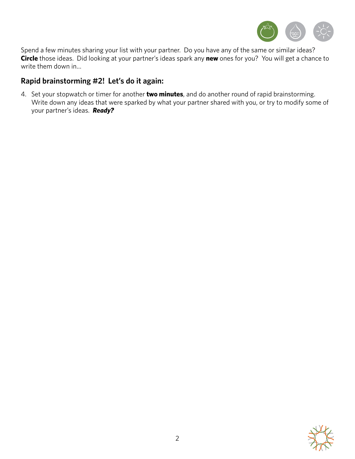

Spend a few minutes sharing your list with your partner. Do you have any of the same or similar ideas? **Circle** those ideas. Did looking at your partner's ideas spark any **new** ones for you? You will get a chance to write them down in…

## **Rapid brainstorming #2! Let's do it again:**

4. Set your stopwatch or timer for another **two minutes**, and do another round of rapid brainstorming. Write down any ideas that were sparked by what your partner shared with you, or try to modify some of your partner's ideas. *Ready?*